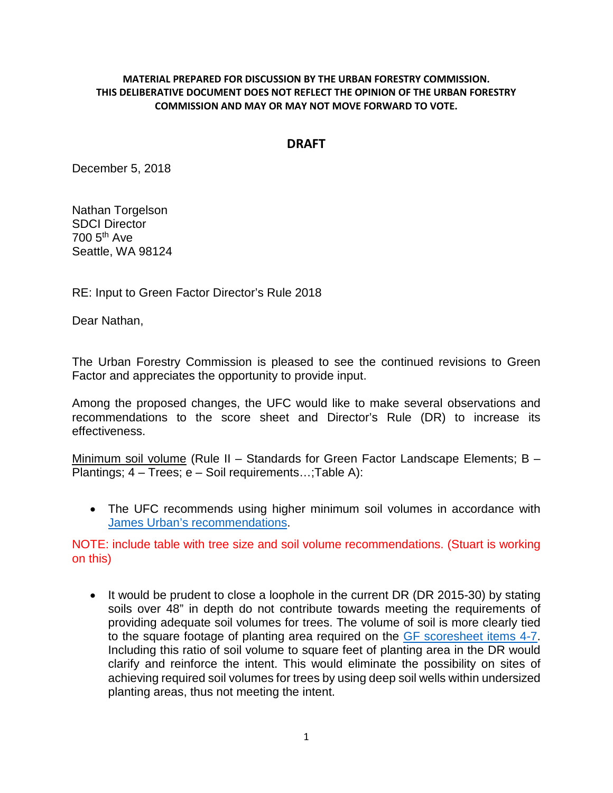## **MATERIAL PREPARED FOR DISCUSSION BY THE URBAN FORESTRY COMMISSION. THIS DELIBERATIVE DOCUMENT DOES NOT REFLECT THE OPINION OF THE URBAN FORESTRY COMMISSION AND MAY OR MAY NOT MOVE FORWARD TO VOTE.**

## **DRAFT**

December 5, 2018

Nathan Torgelson SDCI Director 700 5th Ave Seattle, WA 98124

RE: Input to Green Factor Director's Rule 2018

Dear Nathan,

The Urban Forestry Commission is pleased to see the continued revisions to Green Factor and appreciates the opportunity to provide input.

Among the proposed changes, the UFC would like to make several observations and recommendations to the score sheet and Director's Rule (DR) to increase its effectiveness.

Minimum soil volume (Rule II – Standards for Green Factor Landscape Elements; B – Plantings; 4 – Trees; e – Soil requirements…;Table A):

• The UFC recommends using higher minimum soil volumes in accordance with [James Urban's recommendations.](http://www.deeproot.com/blog/blog-entries/our-recommended-soil-volume-for-urban-trees)

NOTE: include table with tree size and soil volume recommendations. (Stuart is working on this)

• It would be prudent to close a loophole in the current DR (DR 2015-30) by stating soils over 48" in depth do not contribute towards meeting the requirements of providing adequate soil volumes for trees. The volume of soil is more clearly tied to the square footage of planting area required on the [GF scoresheet items 4-7.](http://www.seattle.gov/Documents/Departments/UrbanForestryCommission/2018/2018docs/GFrevisedscoresheet2017_09_06.pdf) Including this ratio of soil volume to square feet of planting area in the DR would clarify and reinforce the intent. This would eliminate the possibility on sites of achieving required soil volumes for trees by using deep soil wells within undersized planting areas, thus not meeting the intent.